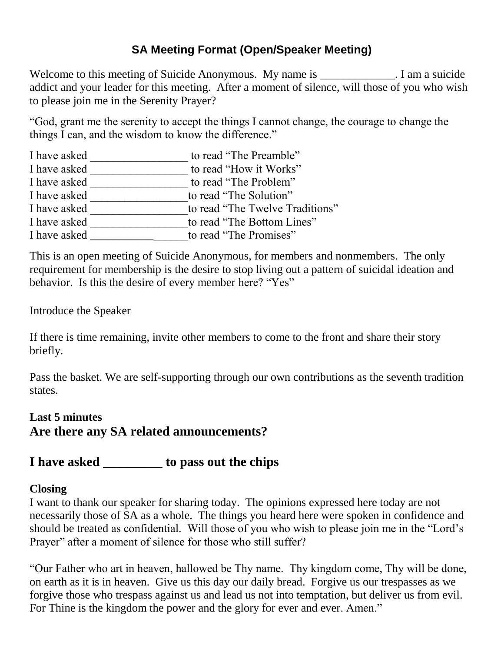## **SA Meeting Format (Open/Speaker Meeting)**

Welcome to this meeting of Suicide Anonymous. My name is \_\_\_\_\_\_\_\_\_\_\_. I am a suicide addict and your leader for this meeting. After a moment of silence, will those of you who wish to please join me in the Serenity Prayer?

"God, grant me the serenity to accept the things I cannot change, the courage to change the things I can, and the wisdom to know the difference."

| I have asked | to read "The Preamble"          |
|--------------|---------------------------------|
| I have asked | to read "How it Works"          |
| I have asked | to read "The Problem"           |
| I have asked | to read "The Solution"          |
| I have asked | to read "The Twelve Traditions" |
| I have asked | to read "The Bottom Lines"      |
| I have asked | to read "The Promises"          |
|              |                                 |

This is an open meeting of Suicide Anonymous, for members and nonmembers. The only requirement for membership is the desire to stop living out a pattern of suicidal ideation and behavior. Is this the desire of every member here? "Yes"

Introduce the Speaker

If there is time remaining, invite other members to come to the front and share their story briefly.

Pass the basket. We are self-supporting through our own contributions as the seventh tradition states.

## **Last 5 minutes Are there any SA related announcements?**

# **I have asked \_\_\_\_\_\_\_\_\_ to pass out the chips**

#### **Closing**

I want to thank our speaker for sharing today. The opinions expressed here today are not necessarily those of SA as a whole. The things you heard here were spoken in confidence and should be treated as confidential. Will those of you who wish to please join me in the "Lord's Prayer" after a moment of silence for those who still suffer?

"Our Father who art in heaven, hallowed be Thy name. Thy kingdom come, Thy will be done, on earth as it is in heaven. Give us this day our daily bread. Forgive us our trespasses as we forgive those who trespass against us and lead us not into temptation, but deliver us from evil. For Thine is the kingdom the power and the glory for ever and ever. Amen."